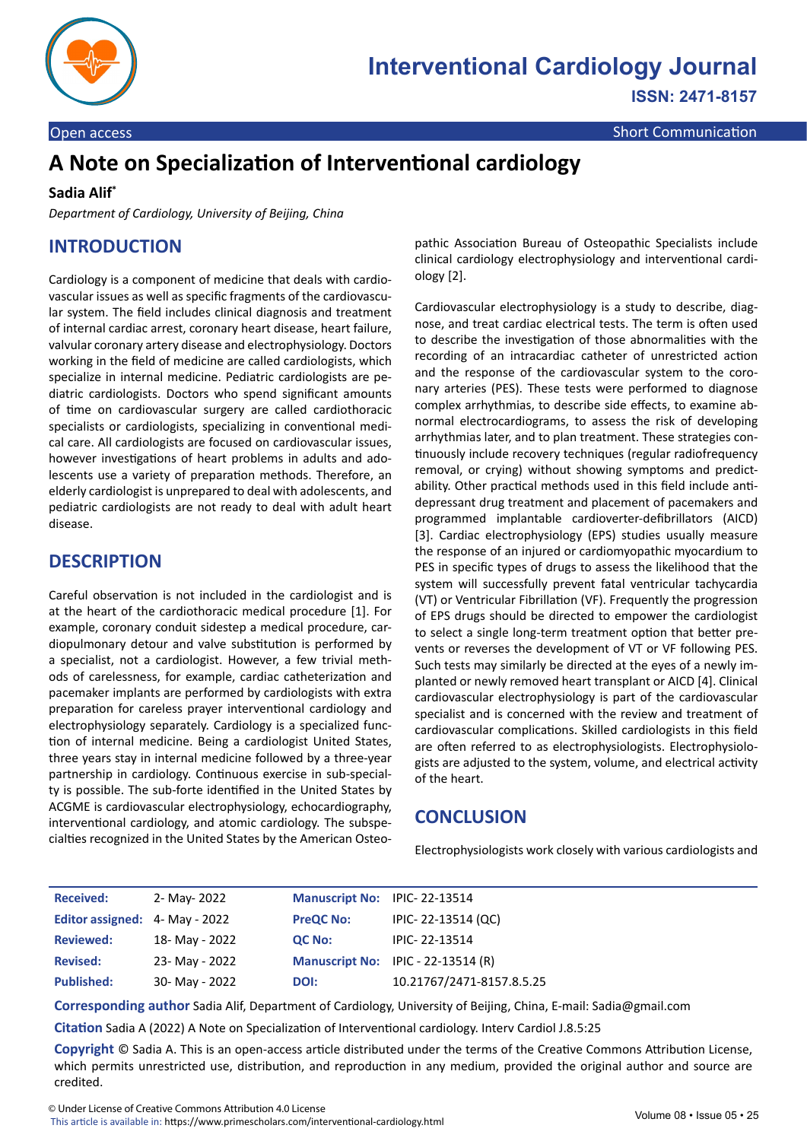

# **A Note on Specialization of Interventional cardiology**

#### **Sadia Alif\***

*Department of Cardiology, University of Beijing, China*

### **INTRODUCTION**

Cardiology is a component of medicine that deals with cardiovascular issues as well as specific fragments of the cardiovascular system. The field includes clinical diagnosis and treatment of internal cardiac arrest, coronary heart disease, heart failure, valvular coronary artery disease and electrophysiology. Doctors working in the field of medicine are called cardiologists, which specialize in internal medicine. Pediatric cardiologists are pediatric cardiologists. Doctors who spend significant amounts of time on cardiovascular surgery are called cardiothoracic specialists or cardiologists, specializing in conventional medical care. All cardiologists are focused on cardiovascular issues, however investigations of heart problems in adults and adolescents use a variety of preparation methods. Therefore, an elderly cardiologist is unprepared to deal with adolescents, and pediatric cardiologists are not ready to deal with adult heart disease.

#### **DESCRIPTION**

Careful observation is not included in the cardiologist and is at the heart of the cardiothoracic medical procedure [1]. For example, coronary conduit sidestep a medical procedure, cardiopulmonary detour and valve substitution is performed by a specialist, not a cardiologist. However, a few trivial methods of carelessness, for example, cardiac catheterization and pacemaker implants are performed by cardiologists with extra preparation for careless prayer interventional cardiology and electrophysiology separately. Cardiology is a specialized function of internal medicine. Being a cardiologist United States, three years stay in internal medicine followed by a three-year partnership in cardiology. Continuous exercise in sub-specialty is possible. The sub-forte identified in the United States by ACGME is cardiovascular electrophysiology, echocardiography, interventional cardiology, and atomic cardiology. The subspecialties recognized in the United States by the American Osteopathic Association Bureau of Osteopathic Specialists include clinical cardiology electrophysiology and interventional cardiology [2].

Cardiovascular electrophysiology is a study to describe, diagnose, and treat cardiac electrical tests. The term is often used to describe the investigation of those abnormalities with the recording of an intracardiac catheter of unrestricted action and the response of the cardiovascular system to the coronary arteries (PES). These tests were performed to diagnose complex arrhythmias, to describe side effects, to examine abnormal electrocardiograms, to assess the risk of developing arrhythmias later, and to plan treatment. These strategies continuously include recovery techniques (regular radiofrequency removal, or crying) without showing symptoms and predictability. Other practical methods used in this field include antidepressant drug treatment and placement of pacemakers and programmed implantable cardioverter-defibrillators (AICD) [3]. Cardiac electrophysiology (EPS) studies usually measure the response of an injured or cardiomyopathic myocardium to PES in specific types of drugs to assess the likelihood that the system will successfully prevent fatal ventricular tachycardia (VT) or Ventricular Fibrillation (VF). Frequently the progression of EPS drugs should be directed to empower the cardiologist to select a single long-term treatment option that better prevents or reverses the development of VT or VF following PES. Such tests may similarly be directed at the eyes of a newly implanted or newly removed heart transplant or AICD [4]. Clinical cardiovascular electrophysiology is part of the cardiovascular specialist and is concerned with the review and treatment of cardiovascular complications. Skilled cardiologists in this field are often referred to as electrophysiologists. Electrophysiologists are adjusted to the system, volume, and electrical activity of the heart.

#### **CONCLUSION**

Electrophysiologists work closely with various cardiologists and

| <b>Received:</b>               | 2- May- 2022   | Manuscript No: IPIC-22-13514 |                                    |
|--------------------------------|----------------|------------------------------|------------------------------------|
| Editor assigned: 4- May - 2022 |                | <b>PreQC No:</b>             | IPIC-22-13514 (QC)                 |
| <b>Reviewed:</b>               | 18- May - 2022 | <b>QC No:</b>                | IPIC-22-13514                      |
| <b>Revised:</b>                | 23- May - 2022 |                              | Manuscript No: IPIC - 22-13514 (R) |
| <b>Published:</b>              | 30- May - 2022 | DOI:                         | 10.21767/2471-8157.8.5.25          |

**Corresponding author** Sadia Alif, Department of Cardiology, University of Beijing, China, E-mail: Sadia@gmail.com

**Citation** Sadia A (2022) A Note on Specialization of Interventional cardiology. Interv Cardiol J.8.5:25

**Copyright** © Sadia A. This is an open-access article distributed under the terms of the Creative Commons Attribution License, which permits unrestricted use, distribution, and reproduction in any medium, provided the original author and source are credited.